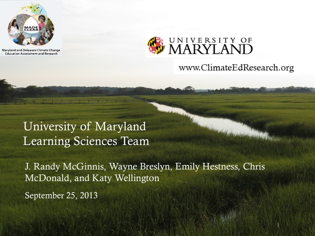

Maryland and Delaware Climate Change **Education Assessment and Research** 



www.ClimateEdResearch.org

1

## University of Maryland Learning Sciences Team

J. Randy McGinnis, Wayne Breslyn, Emily Hestness, Chris McDonald, and Katy Wellington

September 25, 2013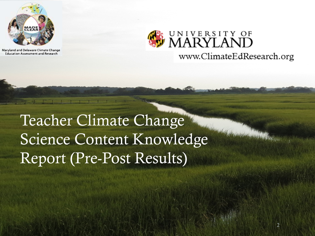

Maryland and Delaware Climate Change **Education Assessment and Research** 



Teacher Climate Change Science Content Knowledge Report (Pre-Post Results)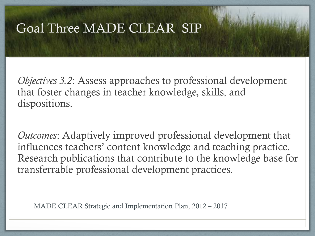### Goal Three MADE CLEAR SIP

*Objectives 3.2*: Assess approaches to professional development that foster changes in teacher knowledge, skills, and dispositions.

*Outcomes*: Adaptively improved professional development that influences teachers' content knowledge and teaching practice. Research publications that contribute to the knowledge base for transferrable professional development practices.

MADE CLEAR Strategic and Implementation Plan, 2012 – 2017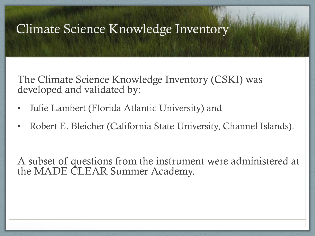### Climate Science Knowledge Inventory

The Climate Science Knowledge Inventory (CSKI) was developed and validated by:

- Julie Lambert (Florida Atlantic University) and
- Robert E. Bleicher (California State University, Channel Islands).

A subset of questions from the instrument were administered at the MADE CLEAR Summer Academy.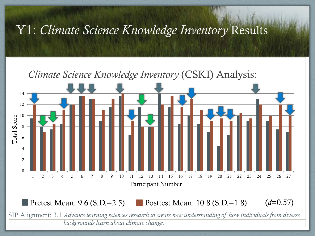Y1: *Climate Science Knowledge Inventory* Results



**Pretest Mean: 9.6 (S.D.=2.5)** Posttest Mean: 10.8 (S.D.=1.8) (*d*=0.57)

SIP Alignment: 3.1 *Advance learning sciences research to create new understanding of how individuals from diverse backgrounds learn about climate change.*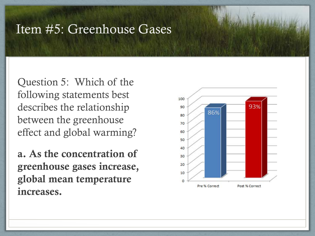#### Item #5: Greenhouse Gases

Question 5: Which of the following statements best describes the relationship between the greenhouse effect and global warming?

a. As the concentration of greenhouse gases increase, global mean temperature increases.

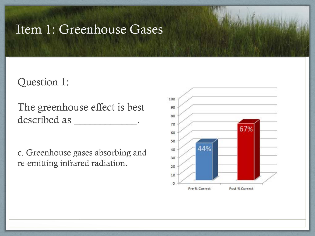### Item 1: Greenhouse Gases

#### Question 1:

The greenhouse effect is best described as \_\_\_\_\_\_\_\_\_\_\_\_.

c. Greenhouse gases absorbing and re-emitting infrared radiation.

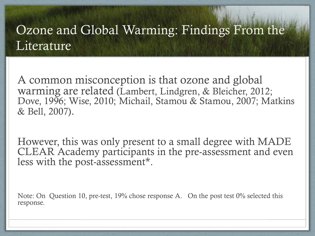## Ozone and Global Warming: Findings From the **Literature**

A common misconception is that ozone and global warming are related (Lambert, Lindgren, & Bleicher, 2012; Dove, 1996; Wise, 2010; Michail, Stamou & Stamou, 2007; Matkins & Bell, 2007).

However, this was only present to a small degree with MADE CLEAR Academy participants in the pre-assessment and even less with the post-assessment\*.

Note: On Question 10, pre-test, 19% chose response A. On the post test 0% selected this response.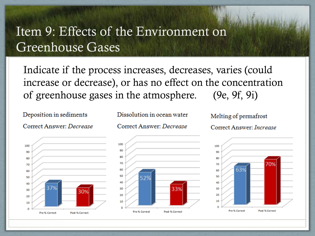## Item 9: Effects of the Environment on Greenhouse Gases

Indicate if the process increases, decreases, varies (could increase or decrease), or has no effect on the concentration of greenhouse gases in the atmosphere. (9e, 9f, 9i)

Deposition in sediments

Correct Answer: Decrease



Dissolution in ocean water Correct Answer: Decrease



Correct Answer: Increase



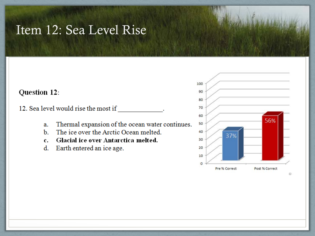### Item 12: Sea Level Rise

#### Question 12:

12. Sea level would rise the most if

- Thermal expansion of the ocean water continues. a.
- The ice over the Arctic Ocean melted.  $\mathbf{b}$ .
- Glacial ice over Antarctica melted.  $c.$
- d. Earth entered an ice age.

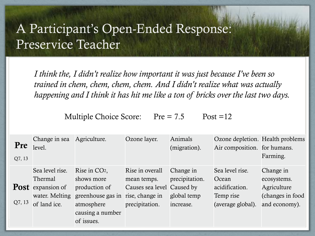## A Participant's Open-Ended Response: Preservice Teacher

*I think the, I didn't realize how important it was just because I've been so trained in chem, chem, chem, chem. And I didn't realize what was actually happening and I think it has hit me like a ton of bricks over the last two days.* 

Multiple Choice Score:  $Pre = 7.5$  Post =12

| <b>Pre</b><br>Q7, 13 | Change in sea<br>level.                                    | Agriculture.                                     | Ozone layer.                                                    | Animals<br>(migration).     | Ozone depletion. Health problems<br>Air composition. for humans. | Farming.                                         |
|----------------------|------------------------------------------------------------|--------------------------------------------------|-----------------------------------------------------------------|-----------------------------|------------------------------------------------------------------|--------------------------------------------------|
|                      | Sea level rise.<br><b>Thermal</b>                          | Rise in CO2,<br>shows more                       | Rise in overall<br>mean temps.                                  | Change in<br>precipitation. | Sea level rise.<br>Ocean                                         | Change in<br>ecosystems.                         |
| Q7, 13               | <b>Post</b> expansion of<br>water. Melting<br>of land ice. | production of<br>greenhouse gas in<br>atmosphere | Causes sea level Caused by<br>rise, change in<br>precipitation. | global temp<br>increase.    | acidification.<br>Temp rise<br>(average global).                 | Agriculture<br>(changes in food<br>and economy). |
|                      |                                                            | causing a number<br>of issues.                   |                                                                 |                             |                                                                  |                                                  |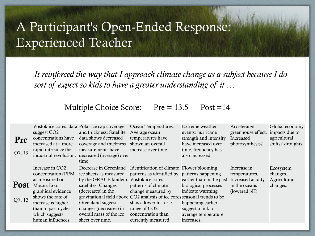# A Participant's Open-Ended Response: Experienced Teacher

*It reinforced the way that I approach climate change as a subject because I do sort of expect so kids to have a greater understanding of it …*

#### Multiple Choice Score: Pre = 13.5 Post = 14

| Pre<br>Q7, 13         | suggest CO <sub>2</sub><br>concentrations have<br>increased at a more<br>rapid rate since the<br>industrial revolution.                                                                                          | Vostok ice cores: data Polar ice cap coverage<br>and thickness: Satellite<br>data shows decreased<br>coverage and thickness<br>measurements have<br>decreased (average) over<br>time.                                                | Ocean Temperatures:<br>Average ocean<br>temperatures have<br>shown an overall<br>increase over time.                                                                                                                                                                                                                  | Extreme weather<br>events: hurricane<br>strength and intensity<br>have increased over<br>time, frequency has<br>also increased.                                        | Accelerated<br>greenhouse effect.<br>Increased<br>photosynthesis? | Global economy<br>impacts due to<br>agricultural<br>shifts/ droughts. |
|-----------------------|------------------------------------------------------------------------------------------------------------------------------------------------------------------------------------------------------------------|--------------------------------------------------------------------------------------------------------------------------------------------------------------------------------------------------------------------------------------|-----------------------------------------------------------------------------------------------------------------------------------------------------------------------------------------------------------------------------------------------------------------------------------------------------------------------|------------------------------------------------------------------------------------------------------------------------------------------------------------------------|-------------------------------------------------------------------|-----------------------------------------------------------------------|
| <b>Post</b><br>Q7, 13 | Increase in CO <sub>2</sub><br>concentration (PPM<br>as measured on<br>Mauna Loa:<br>graphical evidence<br>shows the rate of<br>increase is higher<br>than in past cycles<br>which suggests<br>human influences. | Decrease in Greenland<br>ice sheets as measured<br>by the GRACE tandem Vostok ice cores:<br>satellites. Changes<br>(decreases) in the<br>Greenland suggests<br>changes (decreases) in<br>overall mass of the ice<br>sheet over time. | Identification of climate Flower blooming<br>patterns as identified by patterns happening<br>patterns of climate<br>change measured by<br>gravitational field above CO2 analysis of ice cores seasonal trends to be<br>shos a lower historic<br>range of CO <sub>2</sub><br>concentration than<br>currently measured. | earlier than in the past: Increased acidity<br>biological processes<br>indicate warming<br>happening earlier<br>suggest a link to<br>average temperature<br>increases. | Increase in<br>temperatures.<br>in the oceans<br>(lowered pH).    | Ecosystem<br>changes.<br>Agricultural<br>changes.                     |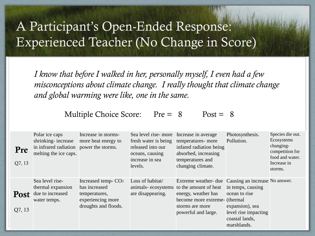# A Participant's Open-Ended Response: Experienced Teacher (No Change in Score)

*I know that before I walked in her, personally myself, I even had a few misconceptions about climate change. I really thought that climate change and global warming were like, one in the same.* 

Multiple Choice Score:  $Pre = 8$  Post = 8

| Pre<br>Q7, 13         | Polar ice caps<br>shrinking-increase<br>in infrared radiation<br>melting the ice caps. | Increase in storms-<br>more heat energy to<br>power the storms.                                                | Sea level rise- more<br>fresh water is being<br>released into our<br>oceans, causing<br>increase in sea<br>levels. | Increase in average<br>temperatures- more<br>infared radiation being<br>absorbed, increasing<br>temperatures and<br>changing climate.                             | Photosynthesis.<br>Pollution.                                                                                                                    | Species die out.<br>Ecosystems<br>changing-<br>competition for<br>food and water.<br>Increase in<br>storms. |
|-----------------------|----------------------------------------------------------------------------------------|----------------------------------------------------------------------------------------------------------------|--------------------------------------------------------------------------------------------------------------------|-------------------------------------------------------------------------------------------------------------------------------------------------------------------|--------------------------------------------------------------------------------------------------------------------------------------------------|-------------------------------------------------------------------------------------------------------------|
| <b>Post</b><br>Q7, 13 | Sea level rise-<br>thermal expansion<br>due to increased<br>water temps.               | Increased temp- CO <sub>2</sub><br>has increased<br>temperatures,<br>experiencing more<br>droughts and floods. | Loss of habitat/<br>are disappearing.                                                                              | Extreme weather-due<br>animals-ecosystems to the amount of heat<br>energy, weather has<br>become more extreme- (thermal<br>storms are more<br>powerful and large. | Causing an increase No answer.<br>in temps, causing<br>ocean to rise<br>expansion), sea<br>level rise impacting<br>coastal lands,<br>marshlands. |                                                                                                             |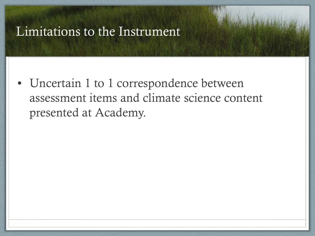### Limitations to the Instrument

• Uncertain 1 to 1 correspondence between assessment items and climate science content presented at Academy.